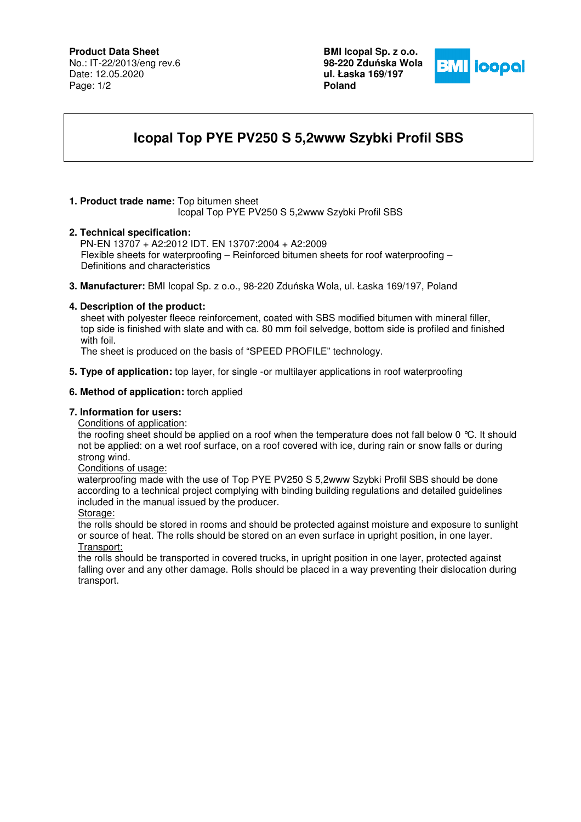## **Product Data Sheet**

No.: IT-22/2013/eng rev.6 Date: 12.05.2020 Page: 1/2

**BMI Icopal Sp. z o.o. 98-220 Zdu**ń**ska Wola ul. Łaska 169/197 Poland** 



# **Icopal Top PYE PV250 S 5,2www Szybki Profil SBS**

## **1. Product trade name:** Top bitumen sheet

Icopal Top PYE PV250 S 5,2www Szybki Profil SBS

### **2. Technical specification:**

PN-EN 13707 + A2:2012 IDT. EN 13707:2004 + A2:2009 Flexible sheets for waterproofing – Reinforced bitumen sheets for roof waterproofing – Definitions and characteristics

**3. Manufacturer:** BMI Icopal Sp. z o.o., 98-220 Zduńska Wola, ul. Łaska 169/197, Poland

## **4. Description of the product:**

 sheet with polyester fleece reinforcement, coated with SBS modified bitumen with mineral filler, top side is finished with slate and with ca. 80 mm foil selvedge, bottom side is profiled and finished with foil.

The sheet is produced on the basis of "SPEED PROFILE" technology.

**5. Type of application:** top layer, for single -or multilayer applications in roof waterproofing

### **6. Method of application:** torch applied

## **7. Information for users:**

Conditions of application:

the roofing sheet should be applied on a roof when the temperature does not fall below 0 °C. It should not be applied: on a wet roof surface, on a roof covered with ice, during rain or snow falls or during strong wind.

### Conditions of usage:

 waterproofing made with the use of Top PYE PV250 S 5,2www Szybki Profil SBS should be done according to a technical project complying with binding building regulations and detailed guidelines included in the manual issued by the producer.

#### Storage:

the rolls should be stored in rooms and should be protected against moisture and exposure to sunlight or source of heat. The rolls should be stored on an even surface in upright position, in one layer. Transport:

the rolls should be transported in covered trucks, in upright position in one layer, protected against falling over and any other damage. Rolls should be placed in a way preventing their dislocation during transport.